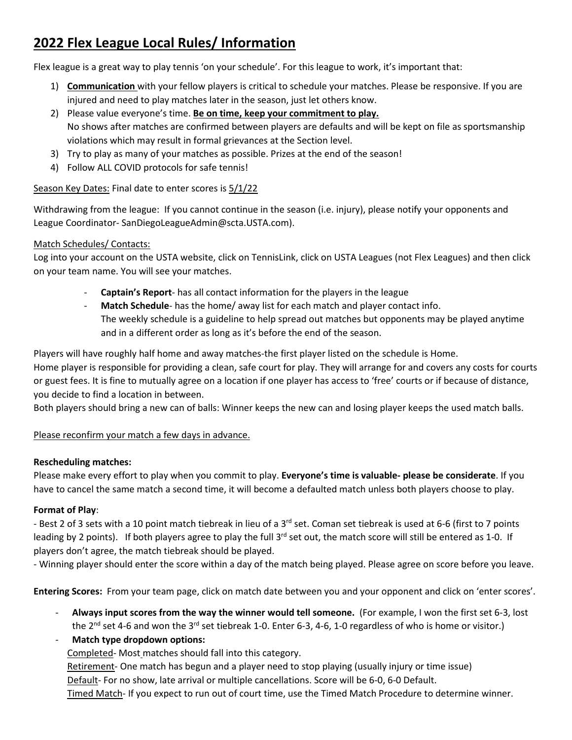# **2022 Flex League Local Rules/ Information**

Flex league is a great way to play tennis 'on your schedule'. For this league to work, it's important that:

- 1) **Communication** with your fellow players is critical to schedule your matches. Please be responsive. If you are injured and need to play matches later in the season, just let others know.
- 2) Please value everyone's time. **Be on time, keep your commitment to play.** No shows after matches are confirmed between players are defaults and will be kept on file as sportsmanship violations which may result in formal grievances at the Section level.
- 3) Try to play as many of your matches as possible. Prizes at the end of the season!
- 4) Follow ALL COVID protocols for safe tennis!

## Season Key Dates: Final date to enter scores is 5/1/22

Withdrawing from the league: If you cannot continue in the season (i.e. injury), please notify your opponents and League Coordinator- SanDiegoLeagueAdmin@scta.USTA.com).

### Match Schedules/ Contacts:

Log into your account on the USTA website, click on TennisLink, click on USTA Leagues (not Flex Leagues) and then click on your team name. You will see your matches.

- **Captain's Report** has all contact information for the players in the league
- **Match Schedule** has the home/ away list for each match and player contact info. The weekly schedule is a guideline to help spread out matches but opponents may be played anytime and in a different order as long as it's before the end of the season.

Players will have roughly half home and away matches-the first player listed on the schedule is Home.

Home player is responsible for providing a clean, safe court for play. They will arrange for and covers any costs for courts or guest fees. It is fine to mutually agree on a location if one player has access to 'free' courts or if because of distance, you decide to find a location in between.

Both players should bring a new can of balls: Winner keeps the new can and losing player keeps the used match balls.

#### Please reconfirm your match a few days in advance.

#### **Rescheduling matches:**

Please make every effort to play when you commit to play. **Everyone's time is valuable- please be considerate**. If you have to cancel the same match a second time, it will become a defaulted match unless both players choose to play.

#### **Format of Play**:

- Best 2 of 3 sets with a 10 point match tiebreak in lieu of a 3<sup>rd</sup> set. Coman set tiebreak is used at 6-6 (first to 7 points leading by 2 points). If both players agree to play the full 3<sup>rd</sup> set out, the match score will still be entered as 1-0. If players don't agree, the match tiebreak should be played.

- Winning player should enter the score within a day of the match being played. Please agree on score before you leave.

**Entering Scores:** From your team page, click on match date between you and your opponent and click on 'enter scores'.

- **Always input scores from the way the winner would tell someone.** (For example, I won the first set 6-3, lost the 2<sup>nd</sup> set 4-6 and won the 3<sup>rd</sup> set tiebreak 1-0. Enter 6-3, 4-6, 1-0 regardless of who is home or visitor.)
- **Match type dropdown options:**

Completed- Most matches should fall into this category.

Retirement- One match has begun and a player need to stop playing (usually injury or time issue) Default- For no show, late arrival or multiple cancellations. Score will be 6-0, 6-0 Default.

Timed Match- If you expect to run out of court time, use the Timed Match Procedure to determine winner.